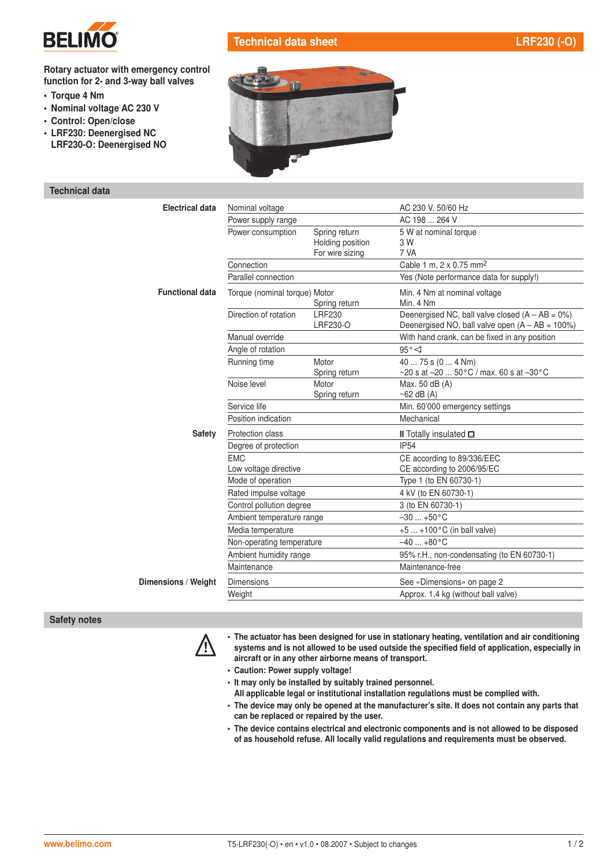

## Technical data sheet LRF230 (-O)

#### Rotary actuator with emergency control function for 2- and 3-way ball valves

- Torque 4 Nm
- Nominal voltage AC 230 V
- Control: Open/close
- LRF230: Deenergised NC
- LRF230-O: Deenergised NO

### Technical data

| -- |
|----|
|    |
|    |
|    |
| w  |

| <b>Electrical data</b> | Nominal voltage                                                                                                                   |                           | AC 230 V, 50/60 Hz                                                                                       |  |
|------------------------|-----------------------------------------------------------------------------------------------------------------------------------|---------------------------|----------------------------------------------------------------------------------------------------------|--|
|                        | Power supply range                                                                                                                |                           | AC 198  264 V                                                                                            |  |
|                        | Power consumption                                                                                                                 | Spring return             | 5 W at nominal torque                                                                                    |  |
|                        |                                                                                                                                   | Holding position          | 3 W                                                                                                      |  |
|                        |                                                                                                                                   | For wire sizing           | 7 VA                                                                                                     |  |
|                        | Connection                                                                                                                        |                           | Cable 1 m, 2 x 0.75 mm <sup>2</sup>                                                                      |  |
|                        | Parallel connection                                                                                                               |                           | Yes (Note performance data for supply!)                                                                  |  |
| <b>Functional data</b> | Torque (nominal torque) Motor                                                                                                     | Spring return             | Min. 4 Nm at nominal voltage<br>Min. 4 Nm                                                                |  |
|                        | Direction of rotation                                                                                                             | <b>LRF230</b><br>LRF230-O | Deenergised NC, ball valve closed $(A - AB = 0\%)$<br>Deenergised NO, ball valve open $(A - AB = 100\%)$ |  |
|                        | Manual override                                                                                                                   |                           | With hand crank, can be fixed in any position                                                            |  |
|                        | Angle of rotation                                                                                                                 |                           | $95^{\circ}$                                                                                             |  |
|                        | Running time                                                                                                                      | Motor                     | 40  75 s (0  4 Nm)                                                                                       |  |
|                        |                                                                                                                                   | Spring return             | ~20 s at $-20$ 50 °C / max. 60 s at $-30$ °C                                                             |  |
|                        | Noise level                                                                                                                       | Motor                     | Max. 50 dB (A)                                                                                           |  |
|                        |                                                                                                                                   | Spring return             | $~62$ dB (A)                                                                                             |  |
|                        | Service life                                                                                                                      |                           | Min. 60'000 emergency settings                                                                           |  |
|                        | Position indication                                                                                                               |                           | Mechanical                                                                                               |  |
| <b>Safety</b>          | Protection class                                                                                                                  |                           | II Totally insulated $\square$                                                                           |  |
|                        | Degree of protection                                                                                                              |                           | <b>IP54</b>                                                                                              |  |
|                        | <b>FMC</b>                                                                                                                        |                           | CE according to 89/336/EEC                                                                               |  |
|                        | Low voltage directive                                                                                                             |                           | CE according to 2006/95/EC                                                                               |  |
|                        | Mode of operation                                                                                                                 |                           | Type 1 (to EN 60730-1)                                                                                   |  |
| Rated impulse voltage  |                                                                                                                                   |                           | 4 kV (to EN 60730-1)                                                                                     |  |
|                        | Control pollution degree<br>Ambient temperature range<br>Media temperature<br>Non-operating temperature<br>Ambient humidity range |                           | 3 (to EN 60730-1)                                                                                        |  |
|                        |                                                                                                                                   |                           | $-30$ $+50^{\circ}$ C                                                                                    |  |
|                        |                                                                                                                                   |                           | +5  +100°C (in ball valve)                                                                               |  |
|                        |                                                                                                                                   |                           | $-40$ $+80^{\circ}$ C                                                                                    |  |
|                        |                                                                                                                                   |                           | 95% r.H., non-condensating (to EN 60730-1)                                                               |  |
|                        | Maintenance                                                                                                                       |                           | Maintenance-free                                                                                         |  |
| Dimensions / Weight    | <b>Dimensions</b>                                                                                                                 |                           | See «Dimensions» on page 2                                                                               |  |
|                        | Weight                                                                                                                            |                           | Approx. 1.4 kg (without ball valve)                                                                      |  |

#### Safety notes



The actuator has been designed for use in stationary heating, ventilation and air conditioning<br>systems and is not allowed to be used outside the specified field of application, especially in aircraft or in any other airborne means of transport.

- Caution: Power supply voltage!
- It may only be installed by suitably trained personnel.
- All applicable legal or institutional installation regulations must be complied with.
- The device may only be opened at the manufacturer's site. It does not contain any parts that can be replaced or repaired by the user.
- The device contains electrical and electronic components and is not allowed to be disposed of as household refuse. All locally valid regulations and requirements must be observed.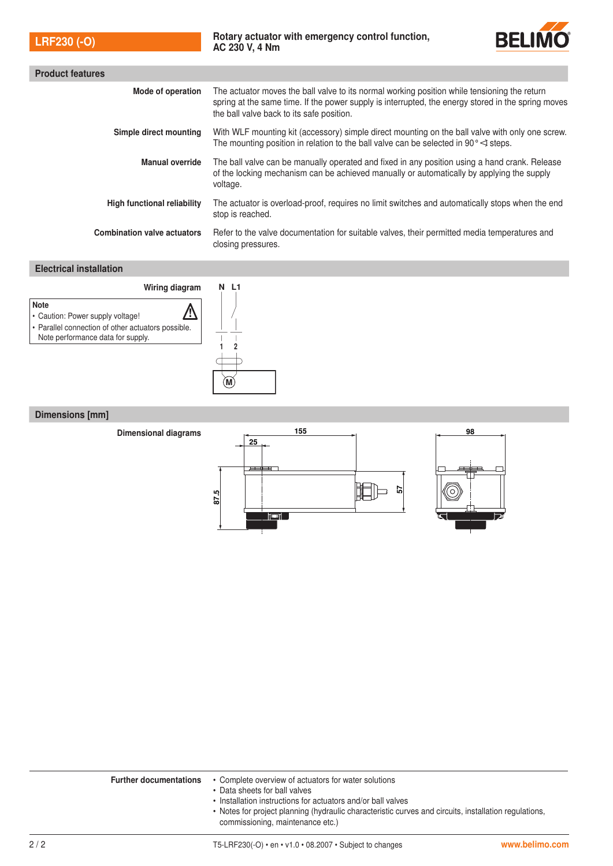| <b>LRF230 (-O)</b> |  |
|--------------------|--|
|                    |  |



| <b>Product features</b>            |                                                                                                                                                                                                                                                 |  |  |  |
|------------------------------------|-------------------------------------------------------------------------------------------------------------------------------------------------------------------------------------------------------------------------------------------------|--|--|--|
| Mode of operation                  | The actuator moves the ball valve to its normal working position while tensioning the return<br>spring at the same time. If the power supply is interrupted, the energy stored in the spring moves<br>the ball valve back to its safe position. |  |  |  |
| Simple direct mounting             | With WLF mounting kit (accessory) simple direct mounting on the ball valve with only one screw.<br>The mounting position in relation to the ball valve can be selected in 90 $\degree$ steps.                                                   |  |  |  |
| <b>Manual override</b>             | The ball valve can be manually operated and fixed in any position using a hand crank. Release<br>of the locking mechanism can be achieved manually or automatically by applying the supply<br>voltage.                                          |  |  |  |
| <b>High functional reliability</b> | The actuator is overload-proof, requires no limit switches and automatically stops when the end<br>stop is reached.                                                                                                                             |  |  |  |
| <b>Combination valve actuators</b> | Refer to the valve documentation for suitable valves, their permitted media temperatures and<br>closing pressures.                                                                                                                              |  |  |  |

## Electrical installation



## Dimensions [mm]



|     | <b>Further documentations</b> | • Complete overview of actuators for water solutions<br>• Data sheets for ball valves<br>• Installation instructions for actuators and/or ball valves<br>• Notes for project planning (hydraulic characteristic curves and circuits, installation regulations,<br>commissioning, maintenance etc.) |                |
|-----|-------------------------------|----------------------------------------------------------------------------------------------------------------------------------------------------------------------------------------------------------------------------------------------------------------------------------------------------|----------------|
| 2/2 |                               | T5-LRF230(-O) $\cdot$ en $\cdot$ v1.0 $\cdot$ 08.2007 $\cdot$ Subject to changes                                                                                                                                                                                                                   | www.belimo.com |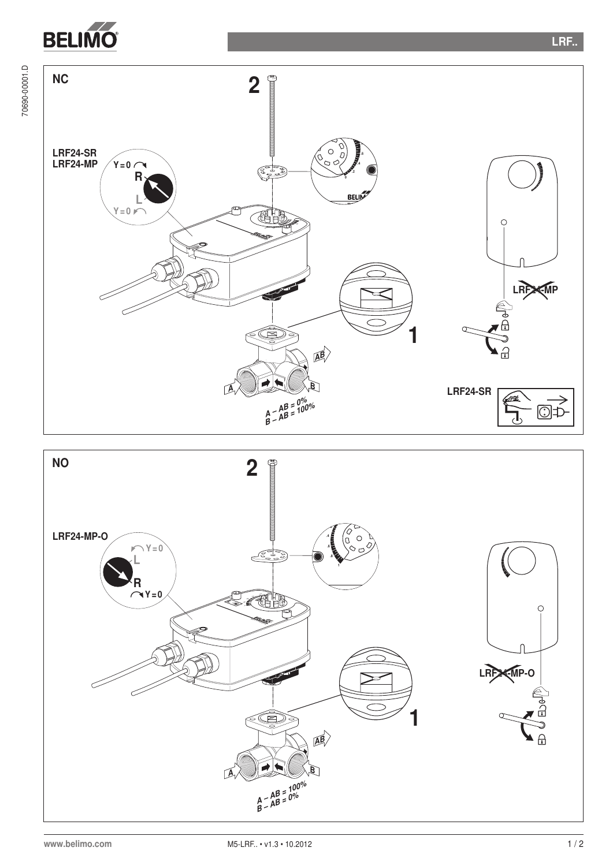**BELIMO** 

70690-00001.D

70690-00001.D